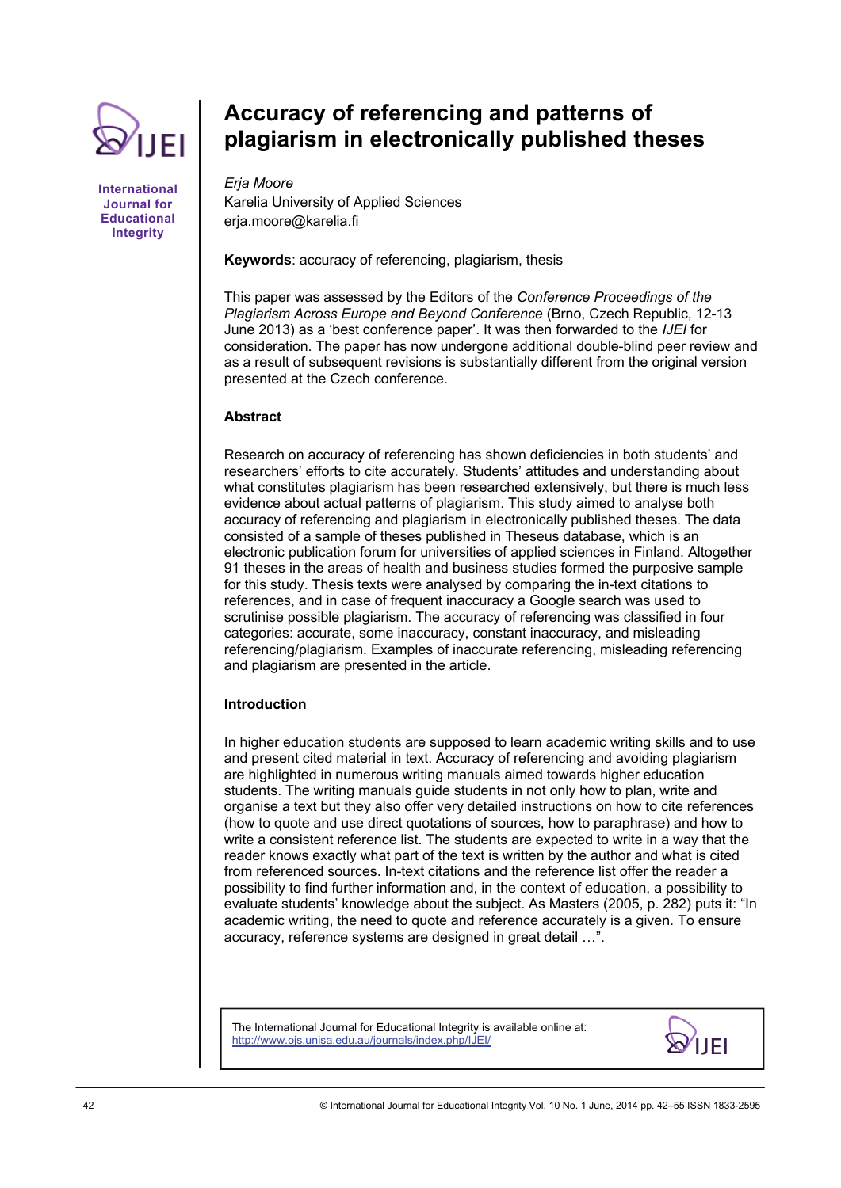

## **International Journal for Educational Integrity**

# **Accuracy of referencing and patterns of plagiarism in electronically published theses**

*Erja Moore*  Karelia University of Applied Sciences erja.moore@karelia.fi

# **Keywords**: accuracy of referencing, plagiarism, thesis

This paper was assessed by the Editors of the *Conference Proceedings of the Plagiarism Across Europe and Beyond Conference* (Brno, Czech Republic, 12-13 June 2013) as a 'best conference paper'. It was then forwarded to the *IJEI* for consideration. The paper has now undergone additional double-blind peer review and as a result of subsequent revisions is substantially different from the original version presented at the Czech conference.

# **Abstract**

Research on accuracy of referencing has shown deficiencies in both students' and researchers' efforts to cite accurately. Students' attitudes and understanding about what constitutes plagiarism has been researched extensively, but there is much less evidence about actual patterns of plagiarism. This study aimed to analyse both accuracy of referencing and plagiarism in electronically published theses. The data consisted of a sample of theses published in Theseus database, which is an electronic publication forum for universities of applied sciences in Finland. Altogether 91 theses in the areas of health and business studies formed the purposive sample for this study. Thesis texts were analysed by comparing the in-text citations to references, and in case of frequent inaccuracy a Google search was used to scrutinise possible plagiarism. The accuracy of referencing was classified in four categories: accurate, some inaccuracy, constant inaccuracy, and misleading referencing/plagiarism. Examples of inaccurate referencing, misleading referencing and plagiarism are presented in the article.

# **Introduction**

In higher education students are supposed to learn academic writing skills and to use and present cited material in text. Accuracy of referencing and avoiding plagiarism are highlighted in numerous writing manuals aimed towards higher education students. The writing manuals guide students in not only how to plan, write and organise a text but they also offer very detailed instructions on how to cite references (how to quote and use direct quotations of sources, how to paraphrase) and how to write a consistent reference list. The students are expected to write in a way that the reader knows exactly what part of the text is written by the author and what is cited from referenced sources. In-text citations and the reference list offer the reader a possibility to find further information and, in the context of education, a possibility to evaluate students' knowledge about the subject. As Masters (2005, p. 282) puts it: "In academic writing, the need to quote and reference accurately is a given. To ensure accuracy, reference systems are designed in great detail …".

The International Journal for Educational Integrity is available online at: http://www.ojs.unisa.edu.au/journals/index.php/IJEI/

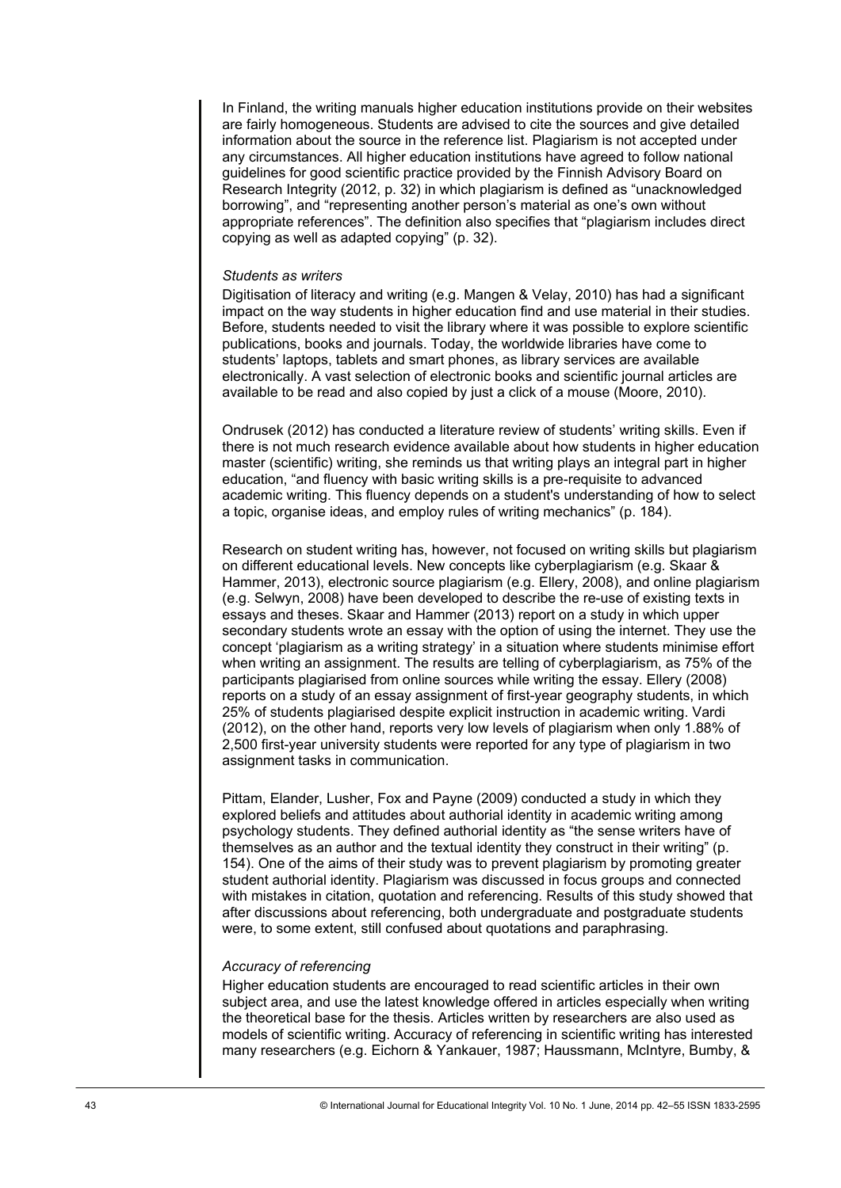In Finland, the writing manuals higher education institutions provide on their websites are fairly homogeneous. Students are advised to cite the sources and give detailed information about the source in the reference list. Plagiarism is not accepted under any circumstances. All higher education institutions have agreed to follow national guidelines for good scientific practice provided by the Finnish Advisory Board on Research Integrity (2012, p. 32) in which plagiarism is defined as "unacknowledged borrowing", and "representing another person's material as one's own without appropriate references". The definition also specifies that "plagiarism includes direct copying as well as adapted copying" (p. 32).

## *Students as writers*

Digitisation of literacy and writing (e.g. Mangen & Velay, 2010) has had a significant impact on the way students in higher education find and use material in their studies. Before, students needed to visit the library where it was possible to explore scientific publications, books and journals. Today, the worldwide libraries have come to students' laptops, tablets and smart phones, as library services are available electronically. A vast selection of electronic books and scientific journal articles are available to be read and also copied by just a click of a mouse (Moore, 2010).

Ondrusek (2012) has conducted a literature review of students' writing skills. Even if there is not much research evidence available about how students in higher education master (scientific) writing, she reminds us that writing plays an integral part in higher education, "and fluency with basic writing skills is a pre-requisite to advanced academic writing. This fluency depends on a student's understanding of how to select a topic, organise ideas, and employ rules of writing mechanics" (p. 184).

Research on student writing has, however, not focused on writing skills but plagiarism on different educational levels. New concepts like cyberplagiarism (e.g. Skaar & Hammer, 2013), electronic source plagiarism (e.g. Ellery, 2008), and online plagiarism (e.g. Selwyn, 2008) have been developed to describe the re-use of existing texts in essays and theses. Skaar and Hammer (2013) report on a study in which upper secondary students wrote an essay with the option of using the internet. They use the concept 'plagiarism as a writing strategy' in a situation where students minimise effort when writing an assignment. The results are telling of cyberplagiarism, as 75% of the participants plagiarised from online sources while writing the essay. Ellery (2008) reports on a study of an essay assignment of first-year geography students, in which 25% of students plagiarised despite explicit instruction in academic writing. Vardi (2012), on the other hand, reports very low levels of plagiarism when only 1.88% of 2,500 first-year university students were reported for any type of plagiarism in two assignment tasks in communication.

Pittam, Elander, Lusher, Fox and Payne (2009) conducted a study in which they explored beliefs and attitudes about authorial identity in academic writing among psychology students. They defined authorial identity as "the sense writers have of themselves as an author and the textual identity they construct in their writing" (p. 154). One of the aims of their study was to prevent plagiarism by promoting greater student authorial identity. Plagiarism was discussed in focus groups and connected with mistakes in citation, quotation and referencing. Results of this study showed that after discussions about referencing, both undergraduate and postgraduate students were, to some extent, still confused about quotations and paraphrasing.

# *Accuracy of referencing*

Higher education students are encouraged to read scientific articles in their own subject area, and use the latest knowledge offered in articles especially when writing the theoretical base for the thesis. Articles written by researchers are also used as models of scientific writing. Accuracy of referencing in scientific writing has interested many researchers (e.g. Eichorn & Yankauer, 1987; Haussmann, McIntyre, Bumby, &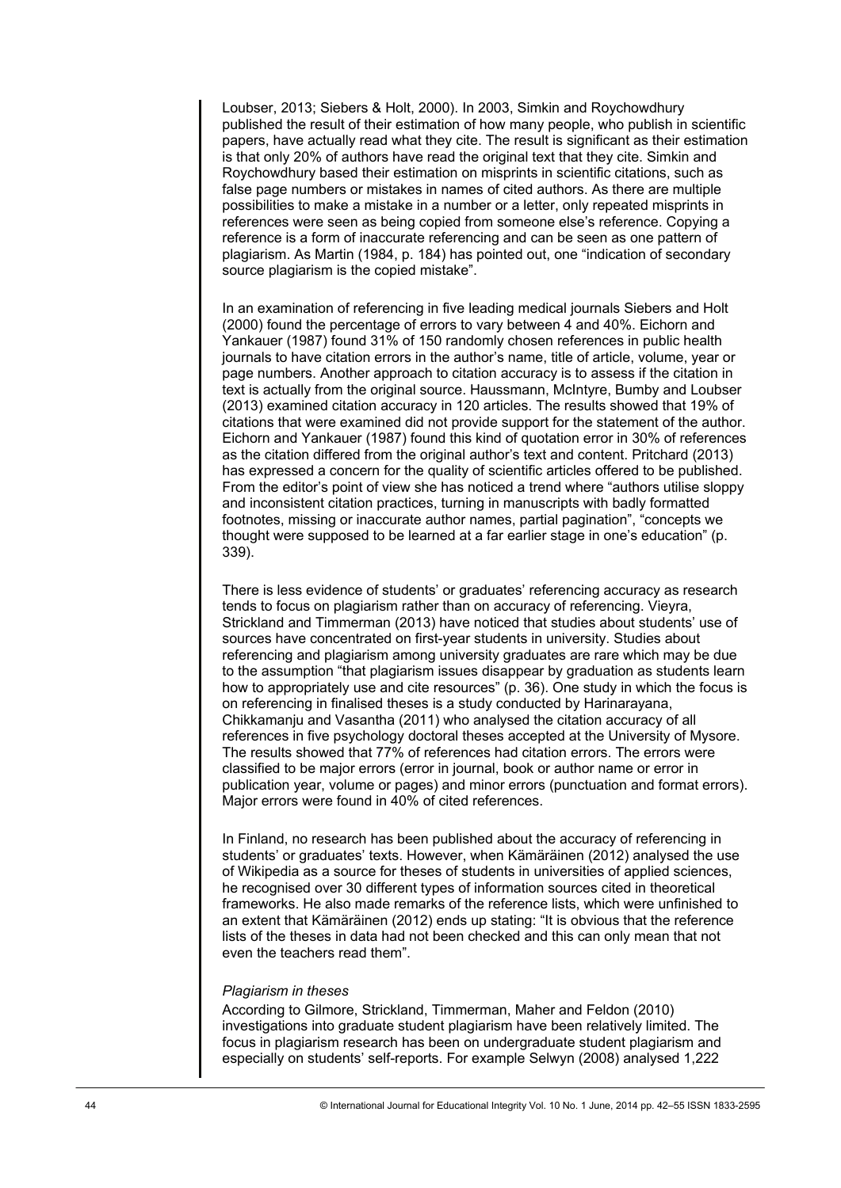Loubser, 2013; Siebers & Holt, 2000). In 2003, Simkin and Roychowdhury published the result of their estimation of how many people, who publish in scientific papers, have actually read what they cite. The result is significant as their estimation is that only 20% of authors have read the original text that they cite. Simkin and Roychowdhury based their estimation on misprints in scientific citations, such as false page numbers or mistakes in names of cited authors. As there are multiple possibilities to make a mistake in a number or a letter, only repeated misprints in references were seen as being copied from someone else's reference. Copying a reference is a form of inaccurate referencing and can be seen as one pattern of plagiarism. As Martin (1984, p. 184) has pointed out, one "indication of secondary source plagiarism is the copied mistake".

In an examination of referencing in five leading medical journals Siebers and Holt (2000) found the percentage of errors to vary between 4 and 40%. Eichorn and Yankauer (1987) found 31% of 150 randomly chosen references in public health journals to have citation errors in the author's name, title of article, volume, year or page numbers. Another approach to citation accuracy is to assess if the citation in text is actually from the original source. Haussmann, McIntyre, Bumby and Loubser (2013) examined citation accuracy in 120 articles. The results showed that 19% of citations that were examined did not provide support for the statement of the author. Eichorn and Yankauer (1987) found this kind of quotation error in 30% of references as the citation differed from the original author's text and content. Pritchard (2013) has expressed a concern for the quality of scientific articles offered to be published. From the editor's point of view she has noticed a trend where "authors utilise sloppy and inconsistent citation practices, turning in manuscripts with badly formatted footnotes, missing or inaccurate author names, partial pagination", "concepts we thought were supposed to be learned at a far earlier stage in one's education" (p. 339).

There is less evidence of students' or graduates' referencing accuracy as research tends to focus on plagiarism rather than on accuracy of referencing. Vieyra, Strickland and Timmerman (2013) have noticed that studies about students' use of sources have concentrated on first-year students in university. Studies about referencing and plagiarism among university graduates are rare which may be due to the assumption "that plagiarism issues disappear by graduation as students learn how to appropriately use and cite resources" (p. 36). One study in which the focus is on referencing in finalised theses is a study conducted by Harinarayana, Chikkamanju and Vasantha (2011) who analysed the citation accuracy of all references in five psychology doctoral theses accepted at the University of Mysore. The results showed that 77% of references had citation errors. The errors were classified to be major errors (error in journal, book or author name or error in publication year, volume or pages) and minor errors (punctuation and format errors). Major errors were found in 40% of cited references.

In Finland, no research has been published about the accuracy of referencing in students' or graduates' texts. However, when Kämäräinen (2012) analysed the use of Wikipedia as a source for theses of students in universities of applied sciences, he recognised over 30 different types of information sources cited in theoretical frameworks. He also made remarks of the reference lists, which were unfinished to an extent that Kämäräinen (2012) ends up stating: "It is obvious that the reference lists of the theses in data had not been checked and this can only mean that not even the teachers read them".

#### *Plagiarism in theses*

According to Gilmore, Strickland, Timmerman, Maher and Feldon (2010) investigations into graduate student plagiarism have been relatively limited. The focus in plagiarism research has been on undergraduate student plagiarism and especially on students' self-reports. For example Selwyn (2008) analysed 1,222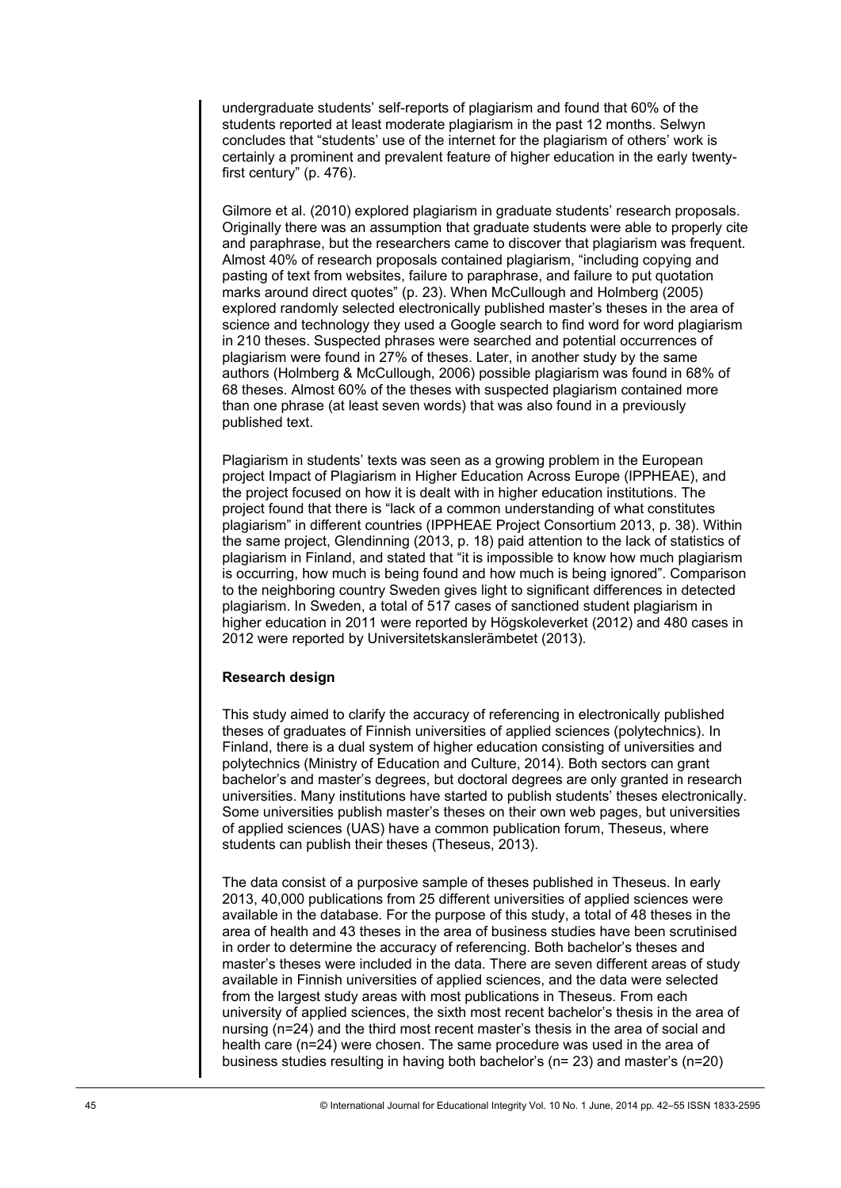undergraduate students' self-reports of plagiarism and found that 60% of the students reported at least moderate plagiarism in the past 12 months. Selwyn concludes that "students' use of the internet for the plagiarism of others' work is certainly a prominent and prevalent feature of higher education in the early twentyfirst century" (p. 476).

Gilmore et al. (2010) explored plagiarism in graduate students' research proposals. Originally there was an assumption that graduate students were able to properly cite and paraphrase, but the researchers came to discover that plagiarism was frequent. Almost 40% of research proposals contained plagiarism, "including copying and pasting of text from websites, failure to paraphrase, and failure to put quotation marks around direct quotes" (p. 23). When McCullough and Holmberg (2005) explored randomly selected electronically published master's theses in the area of science and technology they used a Google search to find word for word plagiarism in 210 theses. Suspected phrases were searched and potential occurrences of plagiarism were found in 27% of theses. Later, in another study by the same authors (Holmberg & McCullough, 2006) possible plagiarism was found in 68% of 68 theses. Almost 60% of the theses with suspected plagiarism contained more than one phrase (at least seven words) that was also found in a previously published text.

Plagiarism in students' texts was seen as a growing problem in the European project Impact of Plagiarism in Higher Education Across Europe (IPPHEAE), and the project focused on how it is dealt with in higher education institutions. The project found that there is "lack of a common understanding of what constitutes plagiarism" in different countries (IPPHEAE Project Consortium 2013, p. 38). Within the same project, Glendinning (2013, p. 18) paid attention to the lack of statistics of plagiarism in Finland, and stated that "it is impossible to know how much plagiarism is occurring, how much is being found and how much is being ignored". Comparison to the neighboring country Sweden gives light to significant differences in detected plagiarism. In Sweden, a total of 517 cases of sanctioned student plagiarism in higher education in 2011 were reported by Högskoleverket (2012) and 480 cases in 2012 were reported by Universitetskanslerämbetet (2013).

## **Research design**

This study aimed to clarify the accuracy of referencing in electronically published theses of graduates of Finnish universities of applied sciences (polytechnics). In Finland, there is a dual system of higher education consisting of universities and polytechnics (Ministry of Education and Culture, 2014). Both sectors can grant bachelor's and master's degrees, but doctoral degrees are only granted in research universities. Many institutions have started to publish students' theses electronically. Some universities publish master's theses on their own web pages, but universities of applied sciences (UAS) have a common publication forum, Theseus, where students can publish their theses (Theseus, 2013).

The data consist of a purposive sample of theses published in Theseus. In early 2013, 40,000 publications from 25 different universities of applied sciences were available in the database. For the purpose of this study, a total of 48 theses in the area of health and 43 theses in the area of business studies have been scrutinised in order to determine the accuracy of referencing. Both bachelor's theses and master's theses were included in the data. There are seven different areas of study available in Finnish universities of applied sciences, and the data were selected from the largest study areas with most publications in Theseus. From each university of applied sciences, the sixth most recent bachelor's thesis in the area of nursing (n=24) and the third most recent master's thesis in the area of social and health care (n=24) were chosen. The same procedure was used in the area of business studies resulting in having both bachelor's (n= 23) and master's (n=20)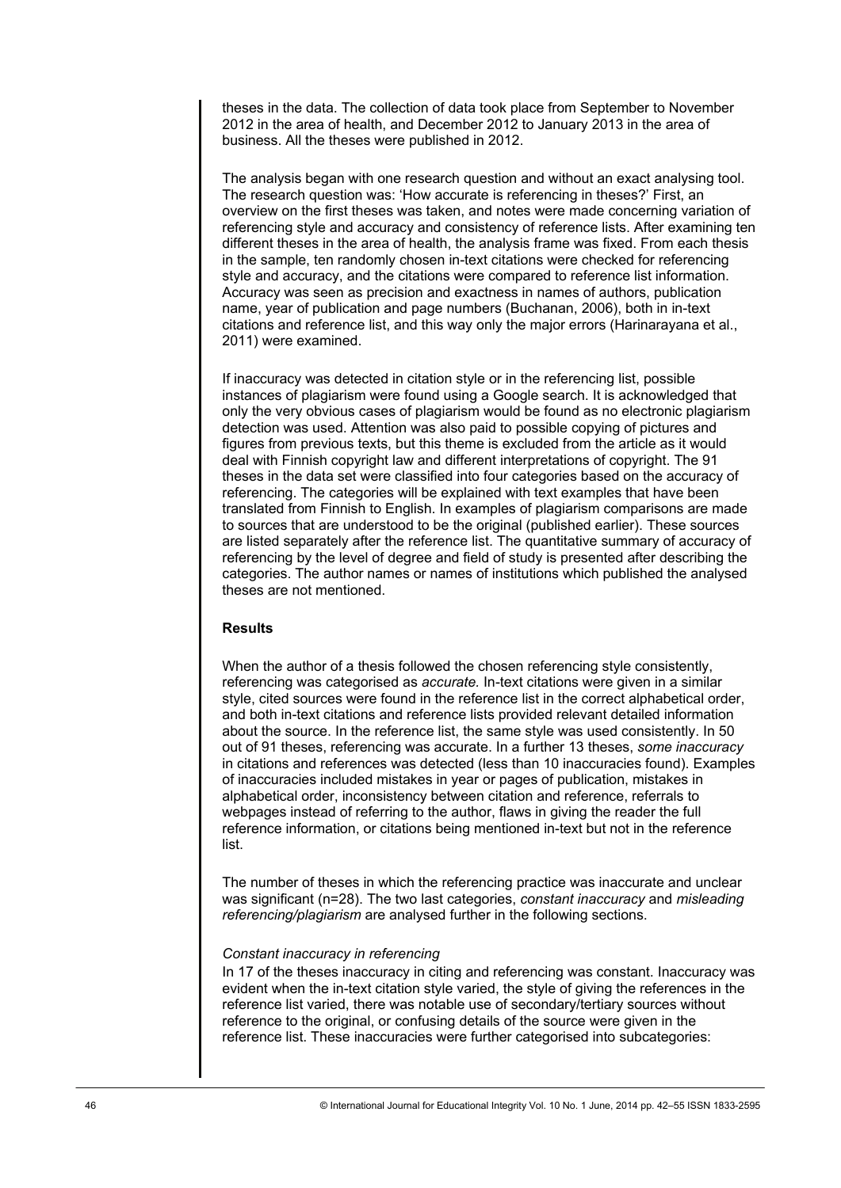theses in the data. The collection of data took place from September to November 2012 in the area of health, and December 2012 to January 2013 in the area of business. All the theses were published in 2012.

The analysis began with one research question and without an exact analysing tool. The research question was: 'How accurate is referencing in theses?' First, an overview on the first theses was taken, and notes were made concerning variation of referencing style and accuracy and consistency of reference lists. After examining ten different theses in the area of health, the analysis frame was fixed. From each thesis in the sample, ten randomly chosen in-text citations were checked for referencing style and accuracy, and the citations were compared to reference list information. Accuracy was seen as precision and exactness in names of authors, publication name, year of publication and page numbers (Buchanan, 2006), both in in-text citations and reference list, and this way only the major errors (Harinarayana et al., 2011) were examined.

If inaccuracy was detected in citation style or in the referencing list, possible instances of plagiarism were found using a Google search. It is acknowledged that only the very obvious cases of plagiarism would be found as no electronic plagiarism detection was used. Attention was also paid to possible copying of pictures and figures from previous texts, but this theme is excluded from the article as it would deal with Finnish copyright law and different interpretations of copyright. The 91 theses in the data set were classified into four categories based on the accuracy of referencing. The categories will be explained with text examples that have been translated from Finnish to English. In examples of plagiarism comparisons are made to sources that are understood to be the original (published earlier). These sources are listed separately after the reference list. The quantitative summary of accuracy of referencing by the level of degree and field of study is presented after describing the categories. The author names or names of institutions which published the analysed theses are not mentioned.

# **Results**

When the author of a thesis followed the chosen referencing style consistently, referencing was categorised as *accurate.* In-text citations were given in a similar style, cited sources were found in the reference list in the correct alphabetical order, and both in-text citations and reference lists provided relevant detailed information about the source. In the reference list, the same style was used consistently. In 50 out of 91 theses, referencing was accurate. In a further 13 theses, *some inaccuracy* in citations and references was detected (less than 10 inaccuracies found). Examples of inaccuracies included mistakes in year or pages of publication, mistakes in alphabetical order, inconsistency between citation and reference, referrals to webpages instead of referring to the author, flaws in giving the reader the full reference information, or citations being mentioned in-text but not in the reference list.

The number of theses in which the referencing practice was inaccurate and unclear was significant (n=28). The two last categories, *constant inaccuracy* and *misleading referencing/plagiarism* are analysed further in the following sections.

# *Constant inaccuracy in referencing*

In 17 of the theses inaccuracy in citing and referencing was constant. Inaccuracy was evident when the in-text citation style varied, the style of giving the references in the reference list varied, there was notable use of secondary/tertiary sources without reference to the original, or confusing details of the source were given in the reference list. These inaccuracies were further categorised into subcategories: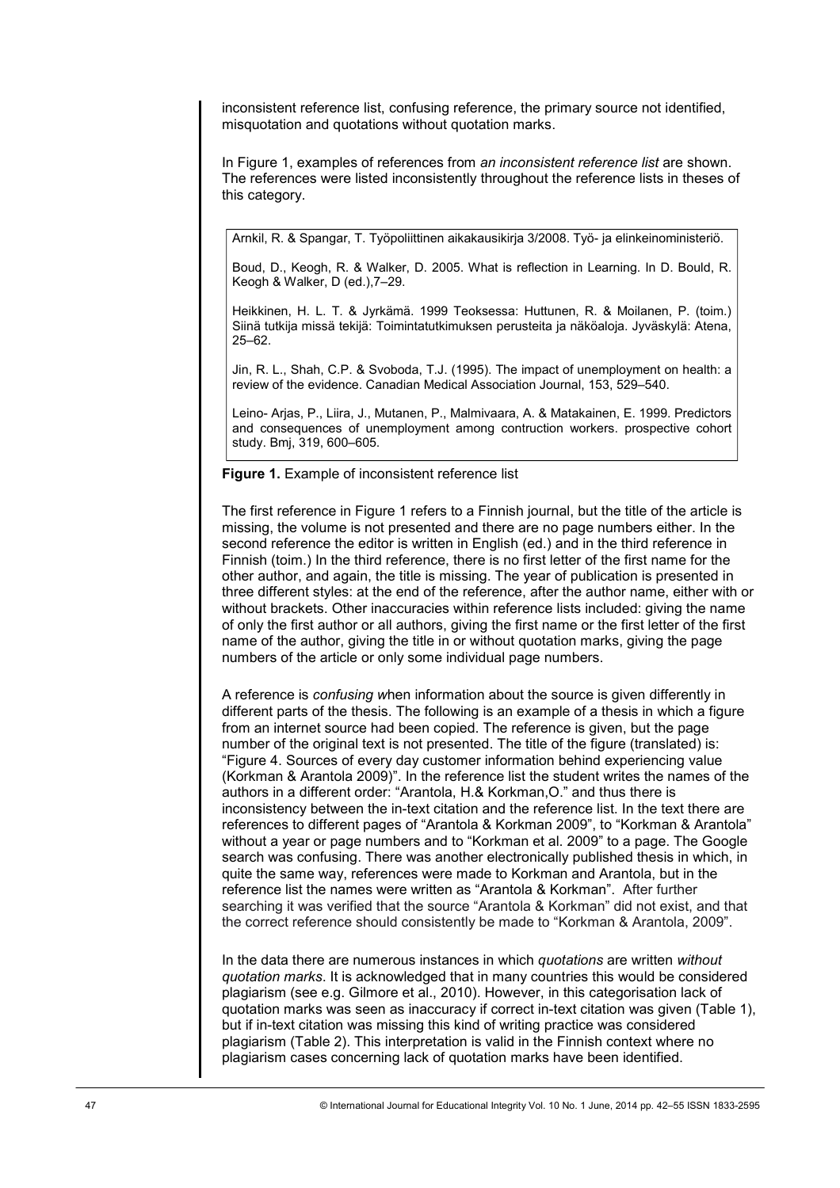inconsistent reference list, confusing reference, the primary source not identified, misquotation and quotations without quotation marks.

In Figure 1, examples of references from an inconsistent reference list are shown. The references were listed inconsistently throughout the reference lists in theses of this category.

Arnkil, R. & Spangar, T. Työpoliittinen aikakausikirja 3/2008. Työ- ja elinkeinoministeriö.

Boud, D., Keogh, R. & Walker, D. 2005. What is reflection in Learning. In D. Bould, R. Keogh & Walker, D (ed.),7–29.

Heikkinen, H. L. T. & Jyrkämä. 1999 Teoksessa: Huttunen, R. & Moilanen, P. (toim.) Siinä tutkija missä tekijä: Toimintatutkimuksen perusteita ja näköaloja. Jyväskylä: Atena, 25–62.

Jin, R. L., Shah, C.P. & Svoboda, T.J. (1995). The impact of unemployment on health: a review of the evidence. Canadian Medical Association Journal, 153, 529–540.

Leino- Arjas, P., Liira, J., Mutanen, P., Malmivaara, A. & Matakainen, E. 1999. Predictors and consequences of unemployment among contruction workers. prospective cohort study. Bmj, 319, 600–605.

Figure 1. Example of inconsistent reference list

The first reference in Figure 1 refers to a Finnish journal, but the title of the article is missing, the volume is not presented and there are no page numbers either. In the second reference the editor is written in English (ed.) and in the third reference in Finnish (toim.) In the third reference, there is no first letter of the first name for the other author, and again, the title is missing. The year of publication is presented in three different styles: at the end of the reference, after the author name, either with or without brackets. Other inaccuracies within reference lists included: giving the name of only the first author or all authors, giving the first name or the first letter of the first name of the author, giving the title in or without quotation marks, giving the page numbers of the article or only some individual page numbers.

A reference is confusing when information about the source is given differently in different parts of the thesis. The following is an example of a thesis in which a figure from an internet source had been copied. The reference is given, but the page number of the original text is not presented. The title of the figure (translated) is: "Figure 4. Sources of every day customer information behind experiencing value (Korkman & Arantola 2009)". In the reference list the student writes the names of the authors in a different order: "Arantola, H.& Korkman,O." and thus there is inconsistency between the in-text citation and the reference list. In the text there are references to different pages of "Arantola & Korkman 2009", to "Korkman & Arantola" without a year or page numbers and to "Korkman et al. 2009" to a page. The Google search was confusing. There was another electronically published thesis in which, in quite the same way, references were made to Korkman and Arantola, but in the reference list the names were written as "Arantola & Korkman". After further searching it was verified that the source "Arantola & Korkman" did not exist, and that the correct reference should consistently be made to "Korkman & Arantola, 2009".

In the data there are numerous instances in which *quotations* are written without quotation marks. It is acknowledged that in many countries this would be considered plagiarism (see e.g. Gilmore et al., 2010). However, in this categorisation lack of quotation marks was seen as inaccuracy if correct in-text citation was given (Table 1), but if in-text citation was missing this kind of writing practice was considered plagiarism (Table 2). This interpretation is valid in the Finnish context where no plagiarism cases concerning lack of quotation marks have been identified.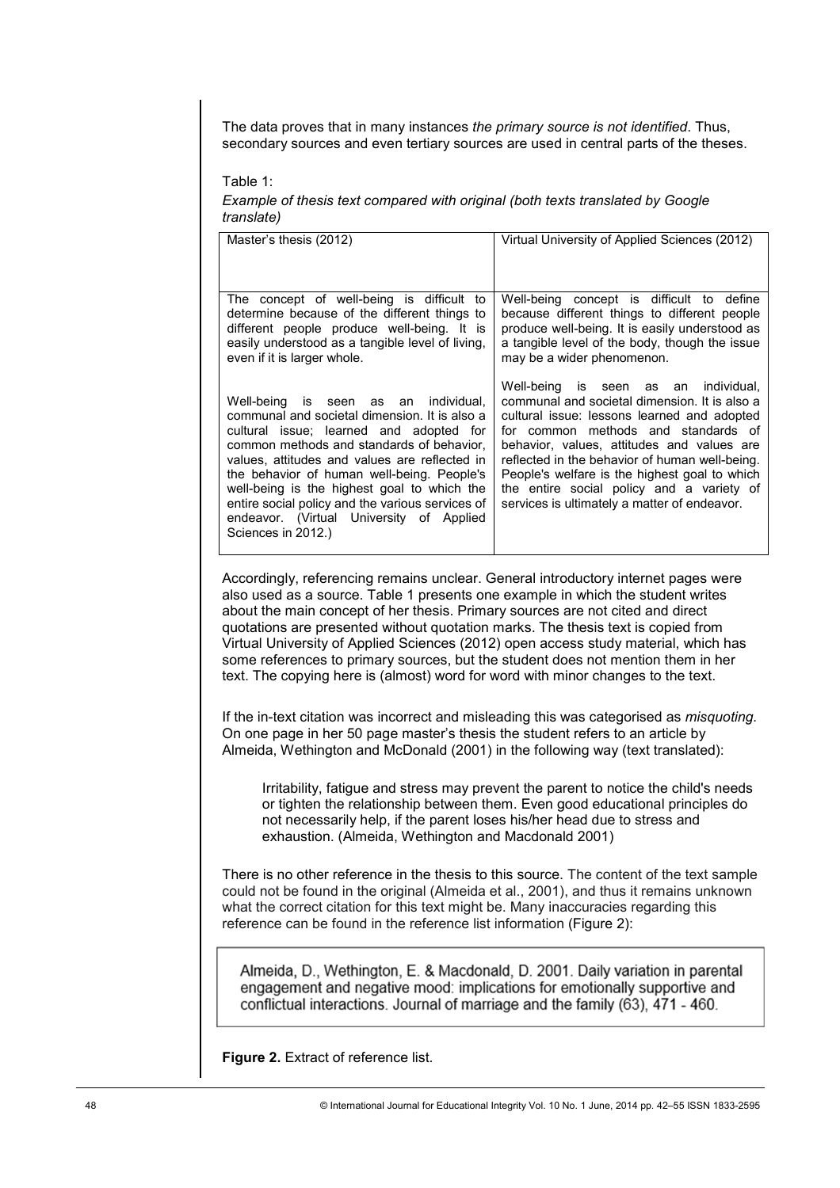The data proves that in many instances the primary source is not identified. Thus, secondary sources and even tertiary sources are used in central parts of the theses.

Table 1:

Example of thesis text compared with original (both texts translated by Google translate)

| Master's thesis (2012)                                                                                                                                                                                                                                                                                                                                                                                                                                                                                                                                                                                     | Virtual University of Applied Sciences (2012)                                                                                                                                                                                                                                                                                                                                                                                      |  |  |  |  |
|------------------------------------------------------------------------------------------------------------------------------------------------------------------------------------------------------------------------------------------------------------------------------------------------------------------------------------------------------------------------------------------------------------------------------------------------------------------------------------------------------------------------------------------------------------------------------------------------------------|------------------------------------------------------------------------------------------------------------------------------------------------------------------------------------------------------------------------------------------------------------------------------------------------------------------------------------------------------------------------------------------------------------------------------------|--|--|--|--|
| The concept of well-being is difficult to<br>determine because of the different things to<br>different people produce well-being. It is<br>easily understood as a tangible level of living,<br>even if it is larger whole.                                                                                                                                                                                                                                                                                                                                                                                 | concept is difficult to define<br>Well-being<br>because different things to different people<br>produce well-being. It is easily understood as<br>a tangible level of the body, though the issue<br>may be a wider phenomenon.                                                                                                                                                                                                     |  |  |  |  |
| Well-being<br>individual.<br>is<br>seen<br>as<br>an<br>communal and societal dimension. It is also a<br>cultural issue; learned and adopted for<br>common methods and standards of behavior,<br>values, attitudes and values are reflected in<br>the behavior of human well-being. People's<br>well-being is the highest goal to which the<br>entire social policy and the various services of<br>endeavor. (Virtual University of Applied<br>Sciences in 2012.)                                                                                                                                           | Well-being<br>is seen as<br>individual,<br>an<br>communal and societal dimension. It is also a<br>cultural issue: lessons learned and adopted<br>for common methods and standards of<br>behavior, values, attitudes and values are<br>reflected in the behavior of human well-being.<br>People's welfare is the highest goal to which<br>the entire social policy and a variety of<br>services is ultimately a matter of endeavor. |  |  |  |  |
| Accordingly, referencing remains unclear. General introductory internet pages were<br>also used as a source. Table 1 presents one example in which the student writes<br>about the main concept of her thesis. Primary sources are not cited and direct<br>quotations are presented without quotation marks. The thesis text is copied from<br>Virtual University of Applied Sciences (2012) open access study material, which has<br>some references to primary sources, but the student does not mention them in her<br>text. The copying here is (almost) word for word with minor changes to the text. |                                                                                                                                                                                                                                                                                                                                                                                                                                    |  |  |  |  |
| If the in-text citation was incorrect and misleading this was categorised as <i>misquoting</i> .<br>On one page in her 50 page master's thesis the student refers to an article by<br>Almeida, Wethington and McDonald (2001) in the following way (text translated):                                                                                                                                                                                                                                                                                                                                      |                                                                                                                                                                                                                                                                                                                                                                                                                                    |  |  |  |  |
| Irritability, fatigue and stress may prevent the parent to notice the child's needs<br>or tighten the relationship between them. Even good educational principles do<br>not necessarily help, if the parent loses his/her head due to stress and<br>exhaustion. (Almeida, Wethington and Macdonald 2001)                                                                                                                                                                                                                                                                                                   |                                                                                                                                                                                                                                                                                                                                                                                                                                    |  |  |  |  |
| There is no other reference in the thesis to this source. The content of the text sample<br>could not be found in the original (Almeida et al., 2001), and thus it remains unknown<br>what the correct citation for this text might be. Many inaccuracies regarding this<br>reference can be found in the reference list information (Figure 2):                                                                                                                                                                                                                                                           |                                                                                                                                                                                                                                                                                                                                                                                                                                    |  |  |  |  |
| Almeida, D., Wethington, E. & Macdonald, D. 2001. Daily variation in parental<br>engagement and negative mood: implications for emotionally supportive and                                                                                                                                                                                                                                                                                                                                                                                                                                                 |                                                                                                                                                                                                                                                                                                                                                                                                                                    |  |  |  |  |

Figure 2. Extract of reference list.

conflictual interactions. Journal of marriage and the family (63), 471 - 460.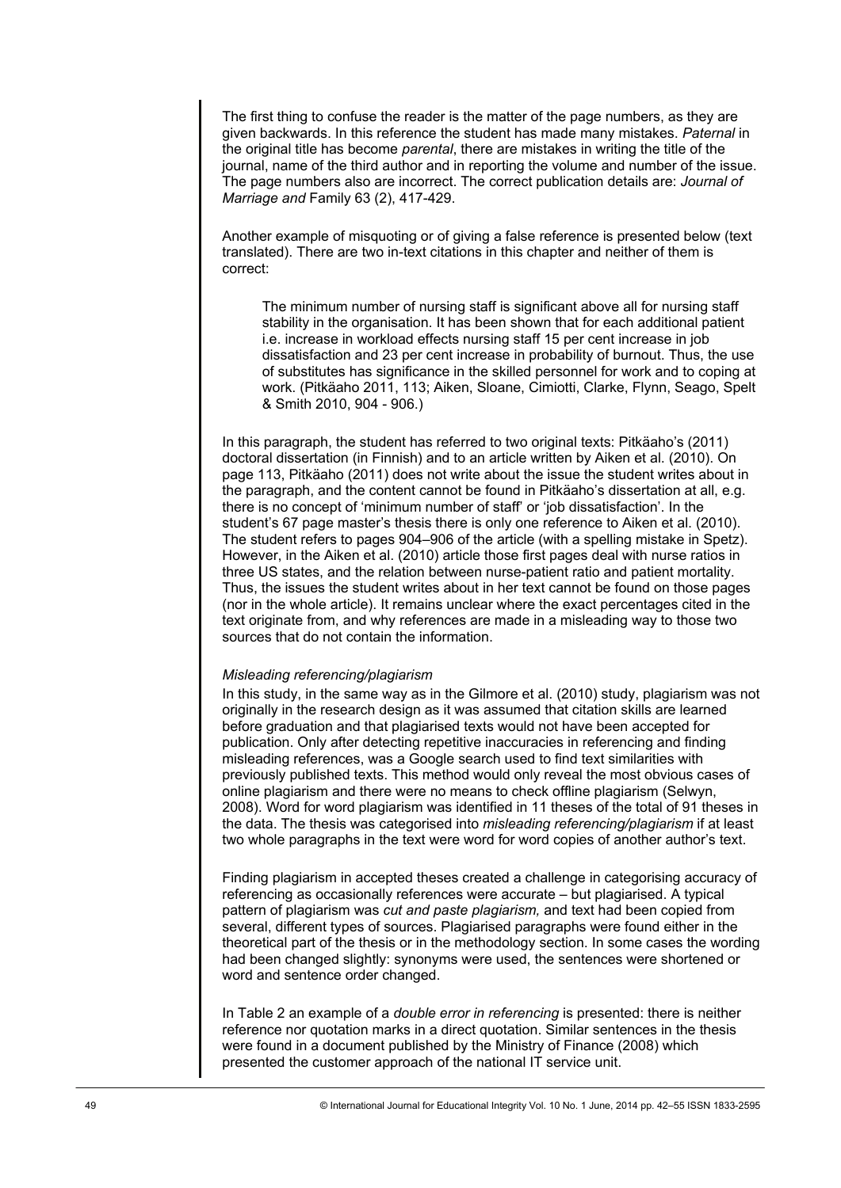The first thing to confuse the reader is the matter of the page numbers, as they are given backwards. In this reference the student has made many mistakes. *Paternal* in the original title has become *parental*, there are mistakes in writing the title of the journal, name of the third author and in reporting the volume and number of the issue. The page numbers also are incorrect. The correct publication details are: *Journal of Marriage and* Family 63 (2), 417-429.

Another example of misquoting or of giving a false reference is presented below (text translated). There are two in-text citations in this chapter and neither of them is correct:

The minimum number of nursing staff is significant above all for nursing staff stability in the organisation. It has been shown that for each additional patient i.e. increase in workload effects nursing staff 15 per cent increase in job dissatisfaction and 23 per cent increase in probability of burnout. Thus, the use of substitutes has significance in the skilled personnel for work and to coping at work. (Pitkäaho 2011, 113; Aiken, Sloane, Cimiotti, Clarke, Flynn, Seago, Spelt & Smith 2010, 904 - 906.)

In this paragraph, the student has referred to two original texts: Pitkäaho's (2011) doctoral dissertation (in Finnish) and to an article written by Aiken et al. (2010). On page 113, Pitkäaho (2011) does not write about the issue the student writes about in the paragraph, and the content cannot be found in Pitkäaho's dissertation at all, e.g. there is no concept of 'minimum number of staff' or 'job dissatisfaction'. In the student's 67 page master's thesis there is only one reference to Aiken et al. (2010). The student refers to pages 904–906 of the article (with a spelling mistake in Spetz). However, in the Aiken et al. (2010) article those first pages deal with nurse ratios in three US states, and the relation between nurse-patient ratio and patient mortality. Thus, the issues the student writes about in her text cannot be found on those pages (nor in the whole article). It remains unclear where the exact percentages cited in the text originate from, and why references are made in a misleading way to those two sources that do not contain the information.

#### *Misleading referencing/plagiarism*

In this study, in the same way as in the Gilmore et al. (2010) study, plagiarism was not originally in the research design as it was assumed that citation skills are learned before graduation and that plagiarised texts would not have been accepted for publication. Only after detecting repetitive inaccuracies in referencing and finding misleading references, was a Google search used to find text similarities with previously published texts. This method would only reveal the most obvious cases of online plagiarism and there were no means to check offline plagiarism (Selwyn, 2008). Word for word plagiarism was identified in 11 theses of the total of 91 theses in the data. The thesis was categorised into *misleading referencing/plagiarism* if at least two whole paragraphs in the text were word for word copies of another author's text.

Finding plagiarism in accepted theses created a challenge in categorising accuracy of referencing as occasionally references were accurate – but plagiarised. A typical pattern of plagiarism was *cut and paste plagiarism,* and text had been copied from several, different types of sources. Plagiarised paragraphs were found either in the theoretical part of the thesis or in the methodology section. In some cases the wording had been changed slightly: synonyms were used, the sentences were shortened or word and sentence order changed.

In Table 2 an example of a *double error in referencing* is presented: there is neither reference nor quotation marks in a direct quotation. Similar sentences in the thesis were found in a document published by the Ministry of Finance (2008) which presented the customer approach of the national IT service unit.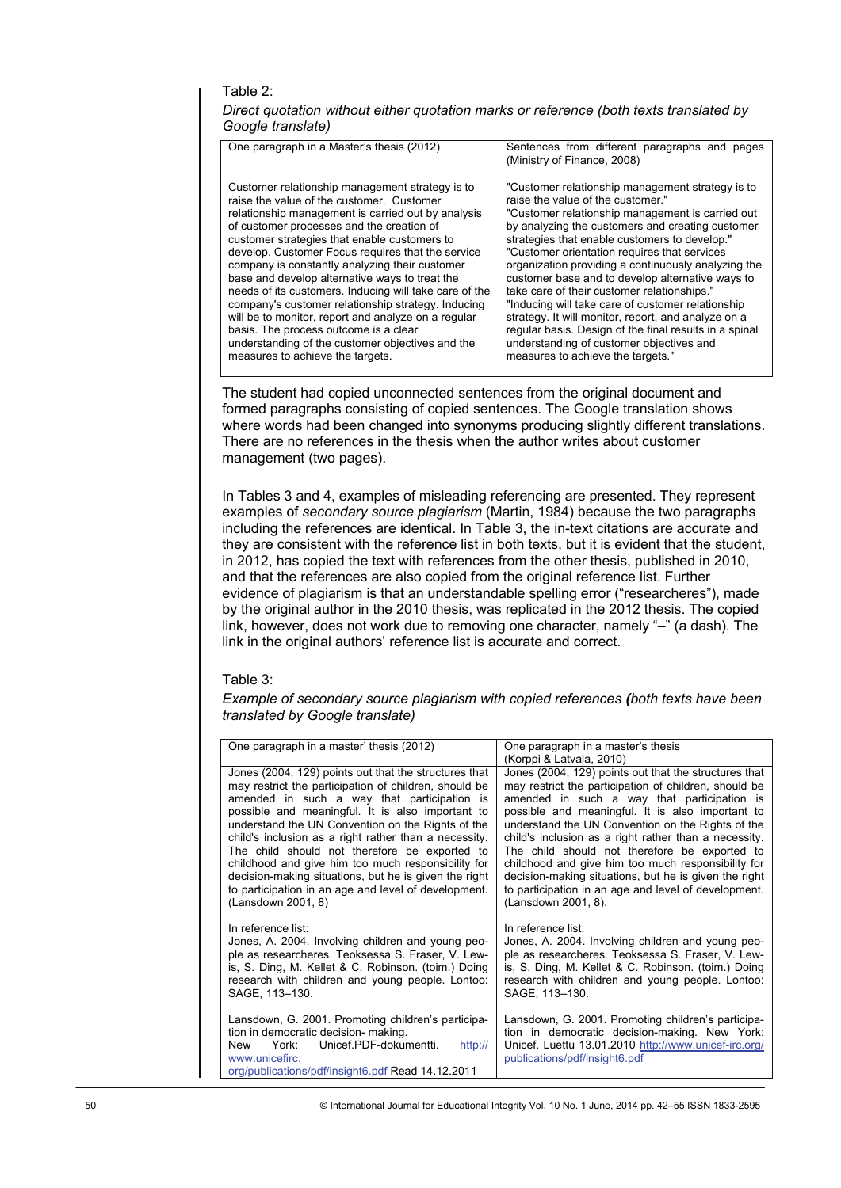# Table 2:

| Direct quotation without either quotation marks or reference (both texts translated by |  |
|----------------------------------------------------------------------------------------|--|
| Google translate)                                                                      |  |

| One paragraph in a Master's thesis (2012)              | Sentences from different paragraphs and pages<br>(Ministry of Finance, 2008) |
|--------------------------------------------------------|------------------------------------------------------------------------------|
| Customer relationship management strategy is to        | "Customer relationship management strategy is to                             |
| raise the value of the customer. Customer              | raise the value of the customer"                                             |
| relationship management is carried out by analysis     | "Customer relationship management is carried out                             |
| of customer processes and the creation of              | by analyzing the customers and creating customer                             |
| customer strategies that enable customers to           | strategies that enable customers to develop."                                |
| develop. Customer Focus requires that the service      | "Customer orientation requires that services                                 |
| company is constantly analyzing their customer         | organization providing a continuously analyzing the                          |
| base and develop alternative ways to treat the         | customer base and to develop alternative ways to                             |
| needs of its customers. Inducing will take care of the | take care of their customer relationships."                                  |
| company's customer relationship strategy. Inducing     | "Inducing will take care of customer relationship                            |
| will be to monitor, report and analyze on a regular    | strategy. It will monitor, report, and analyze on a                          |
| basis. The process outcome is a clear                  | regular basis. Design of the final results in a spinal                       |
| understanding of the customer objectives and the       | understanding of customer objectives and                                     |
| measures to achieve the targets.                       | measures to achieve the targets."                                            |

## Table 3:

| One paragraph in a Master's thesis (2012)                                                                                                                                                                                                                                                                                                                                                                                                                                                                                                                                                                                                                                                                                                                                                                                                                                                                                                                                                                         | Sentences from different paragraphs and pages<br>(Ministry of Finance, 2008)                                                                                                                                                                                                                                                                                                                                                                                                                                                                                                                                                                                                                                    |  |  |  |  |  |
|-------------------------------------------------------------------------------------------------------------------------------------------------------------------------------------------------------------------------------------------------------------------------------------------------------------------------------------------------------------------------------------------------------------------------------------------------------------------------------------------------------------------------------------------------------------------------------------------------------------------------------------------------------------------------------------------------------------------------------------------------------------------------------------------------------------------------------------------------------------------------------------------------------------------------------------------------------------------------------------------------------------------|-----------------------------------------------------------------------------------------------------------------------------------------------------------------------------------------------------------------------------------------------------------------------------------------------------------------------------------------------------------------------------------------------------------------------------------------------------------------------------------------------------------------------------------------------------------------------------------------------------------------------------------------------------------------------------------------------------------------|--|--|--|--|--|
| Customer relationship management strategy is to<br>raise the value of the customer. Customer<br>relationship management is carried out by analysis<br>of customer processes and the creation of<br>customer strategies that enable customers to<br>develop. Customer Focus requires that the service<br>company is constantly analyzing their customer<br>base and develop alternative ways to treat the<br>needs of its customers. Inducing will take care of the<br>company's customer relationship strategy. Inducing<br>will be to monitor, report and analyze on a regular<br>basis. The process outcome is a clear<br>understanding of the customer objectives and the<br>measures to achieve the targets.                                                                                                                                                                                                                                                                                                  | "Customer relationship management strategy is to<br>raise the value of the customer."<br>"Customer relationship management is carried out<br>by analyzing the customers and creating customer<br>strategies that enable customers to develop."<br>"Customer orientation requires that services<br>organization providing a continuously analyzing the<br>customer base and to develop alternative ways to<br>take care of their customer relationships."<br>"Inducing will take care of customer relationship<br>strategy. It will monitor, report, and analyze on a<br>regular basis. Design of the final results in a spinal<br>understanding of customer objectives and<br>measures to achieve the targets." |  |  |  |  |  |
| The student had copied unconnected sentences from the original document and<br>formed paragraphs consisting of copied sentences. The Google translation shows<br>where words had been changed into synonyms producing slightly different translations.<br>There are no references in the thesis when the author writes about customer<br>management (two pages).                                                                                                                                                                                                                                                                                                                                                                                                                                                                                                                                                                                                                                                  |                                                                                                                                                                                                                                                                                                                                                                                                                                                                                                                                                                                                                                                                                                                 |  |  |  |  |  |
| In Tables 3 and 4, examples of misleading referencing are presented. They represent<br>examples of secondary source plagiarism (Martin, 1984) because the two paragraphs<br>including the references are identical. In Table 3, the in-text citations are accurate and<br>they are consistent with the reference list in both texts, but it is evident that the student,<br>in 2012, has copied the text with references from the other thesis, published in 2010,<br>and that the references are also copied from the original reference list. Further<br>evidence of plagiarism is that an understandable spelling error ("researcheres"), made<br>by the original author in the 2010 thesis, was replicated in the 2012 thesis. The copied<br>link, however, does not work due to removing one character, namely "-" (a dash). The<br>link in the original authors' reference list is accurate and correct.<br>Table 3:<br>Example of secondary source plagiarism with copied references (both texts have been |                                                                                                                                                                                                                                                                                                                                                                                                                                                                                                                                                                                                                                                                                                                 |  |  |  |  |  |
| translated by Google translate)                                                                                                                                                                                                                                                                                                                                                                                                                                                                                                                                                                                                                                                                                                                                                                                                                                                                                                                                                                                   |                                                                                                                                                                                                                                                                                                                                                                                                                                                                                                                                                                                                                                                                                                                 |  |  |  |  |  |
| One paragraph in a master' thesis (2012)                                                                                                                                                                                                                                                                                                                                                                                                                                                                                                                                                                                                                                                                                                                                                                                                                                                                                                                                                                          | One paragraph in a master's thesis                                                                                                                                                                                                                                                                                                                                                                                                                                                                                                                                                                                                                                                                              |  |  |  |  |  |
| Jones (2004, 129) points out that the structures that<br>may restrict the participation of children, should be<br>amended in such a way that participation is<br>possible and meaningful. It is also important to<br>understand the UN Convention on the Rights of the<br>child's inclusion as a right rather than a necessity.<br>The child should not therefore be exported to<br>childhood and give him too much responsibility for<br>decision-making situations, but he is given the right<br>to participation in an age and level of development.<br>(Lansdown 2001, 8)                                                                                                                                                                                                                                                                                                                                                                                                                                     | (Korppi & Latvala, 2010)<br>Jones (2004, 129) points out that the structures that<br>may restrict the participation of children, should be<br>amended in such a way that participation is<br>possible and meaningful. It is also important to<br>understand the UN Convention on the Rights of the<br>child's inclusion as a right rather than a necessity.<br>The child should not therefore be exported to<br>childhood and give him too much responsibility for<br>decision-making situations, but he is given the right<br>to participation in an age and level of development.<br>(Lansdown 2001, 8).                                                                                                      |  |  |  |  |  |
| In reference list:<br>Jones, A. 2004. Involving children and young peo-<br>ple as researcheres. Teoksessa S. Fraser, V. Lew-<br>is, S. Ding, M. Kellet & C. Robinson. (toim.) Doing<br>research with children and young people. Lontoo:<br>SAGE, 113-130.                                                                                                                                                                                                                                                                                                                                                                                                                                                                                                                                                                                                                                                                                                                                                         | In reference list:<br>Jones, A. 2004. Involving children and young peo-<br>ple as researcheres. Teoksessa S. Fraser, V. Lew-<br>is, S. Ding, M. Kellet & C. Robinson. (toim.) Doing<br>research with children and young people. Lontoo:<br>SAGE, 113-130.                                                                                                                                                                                                                                                                                                                                                                                                                                                       |  |  |  |  |  |
| Lansdown, G. 2001. Promoting children's participa-<br>tion in democratic decision- making.<br><b>New</b><br>York:<br>Unicef.PDF-dokumentti.<br>http://<br>www.unicefirc.<br>org/publications/pdf/insight6.pdf Read 14.12.2011                                                                                                                                                                                                                                                                                                                                                                                                                                                                                                                                                                                                                                                                                                                                                                                     | Lansdown, G. 2001. Promoting children's participa-<br>tion in democratic decision-making. New York:<br>Unicef. Luettu 13.01.2010 http://www.unicef-irc.org/<br>publications/pdf/insight6.pdf                                                                                                                                                                                                                                                                                                                                                                                                                                                                                                                    |  |  |  |  |  |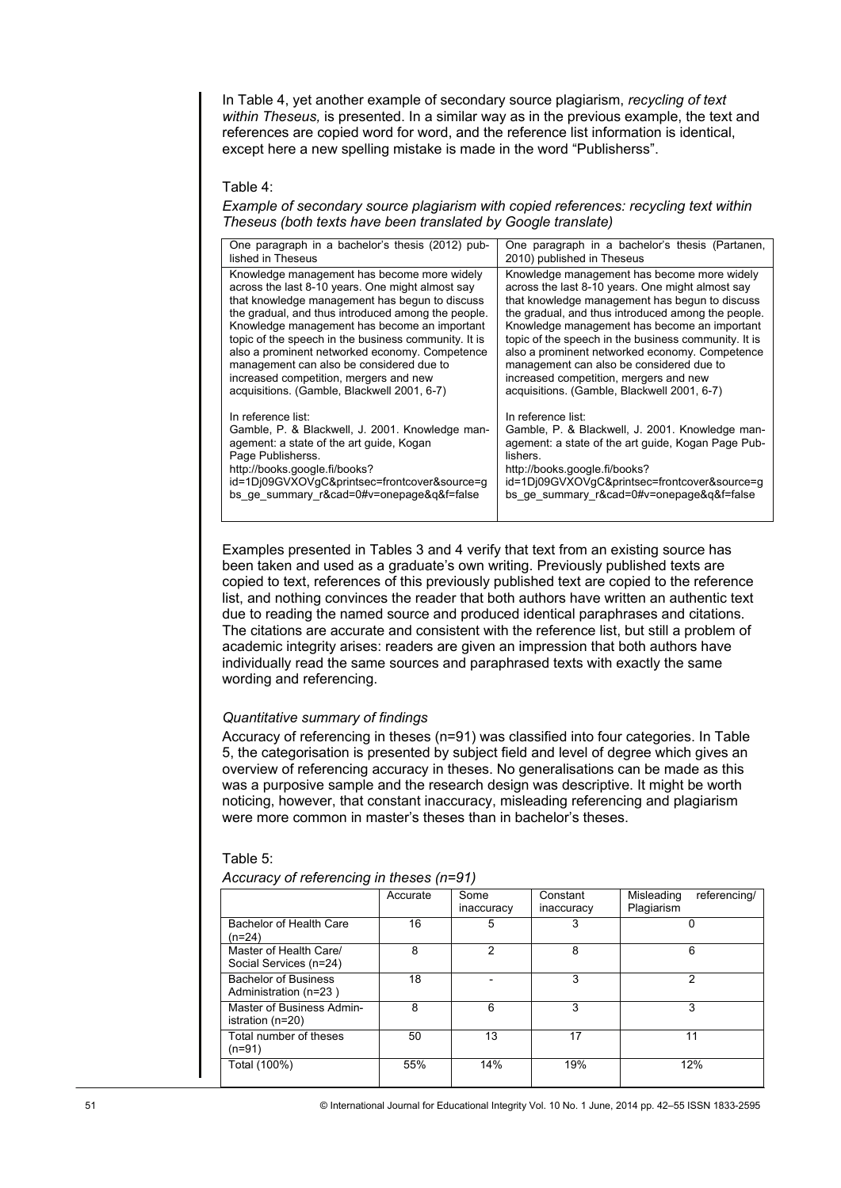In Table 4, yet another example of secondary source plagiarism, *recycling of text within Theseus,* is presented. In a similar way as in the previous example, the text and references are copied word for word, and the reference list information is identical, except here a new spelling mistake is made in the word "Publisherss".

#### Table 4:

*Example of secondary source plagiarism with copied references: recycling text within Theseus (both texts have been translated by Google translate)* 

| One paragraph in a bachelor's thesis (2012) pub-<br>lished in Theseus                                                                                                                                                                                                                                                                                                                                                                                                                                                                                                                                                                                                                                                                            |                |                 |          | One paragraph in a bachelor's thesis (Partanen,<br>2010) published in Theseus                                                                                                                                                                                                                                                                                                                                                                                                                          |            |                |
|--------------------------------------------------------------------------------------------------------------------------------------------------------------------------------------------------------------------------------------------------------------------------------------------------------------------------------------------------------------------------------------------------------------------------------------------------------------------------------------------------------------------------------------------------------------------------------------------------------------------------------------------------------------------------------------------------------------------------------------------------|----------------|-----------------|----------|--------------------------------------------------------------------------------------------------------------------------------------------------------------------------------------------------------------------------------------------------------------------------------------------------------------------------------------------------------------------------------------------------------------------------------------------------------------------------------------------------------|------------|----------------|
| Knowledge management has become more widely<br>across the last 8-10 years. One might almost say<br>that knowledge management has begun to discuss<br>the gradual, and thus introduced among the people.<br>Knowledge management has become an important<br>topic of the speech in the business community. It is<br>also a prominent networked economy. Competence<br>management can also be considered due to<br>increased competition, mergers and new<br>acquisitions. (Gamble, Blackwell 2001, 6-7)                                                                                                                                                                                                                                           |                |                 |          | Knowledge management has become more widely<br>across the last 8-10 years. One might almost say<br>that knowledge management has begun to discuss<br>the gradual, and thus introduced among the people.<br>Knowledge management has become an important<br>topic of the speech in the business community. It is<br>also a prominent networked economy. Competence<br>management can also be considered due to<br>increased competition, mergers and new<br>acquisitions. (Gamble, Blackwell 2001, 6-7) |            |                |
| In reference list:<br>Gamble, P. & Blackwell, J. 2001. Knowledge man-<br>agement: a state of the art guide, Kogan<br>Page Publisherss.<br>http://books.google.fi/books?<br>id=1Dj09GVXOVgC&printsec=frontcover&source=g<br>bs ge summary r&cad=0#v=onepage&q&f=false                                                                                                                                                                                                                                                                                                                                                                                                                                                                             |                |                 | lishers. | In reference list:<br>Gamble, P. & Blackwell, J. 2001. Knowledge man-<br>agement: a state of the art guide, Kogan Page Pub-<br>http://books.google.fi/books?<br>id=1Dj09GVXOVgC&printsec=frontcover&source=g<br>bs ge summary r&cad=0#v=onepage&q&f=false                                                                                                                                                                                                                                              |            |                |
| Examples presented in Tables 3 and 4 verify that text from an existing source has<br>been taken and used as a graduate's own writing. Previously published texts are<br>copied to text, references of this previously published text are copied to the reference<br>list, and nothing convinces the reader that both authors have written an authentic text<br>due to reading the named source and produced identical paraphrases and citations.<br>The citations are accurate and consistent with the reference list, but still a problem of<br>academic integrity arises: readers are given an impression that both authors have<br>individually read the same sources and paraphrased texts with exactly the same<br>wording and referencing. |                |                 |          |                                                                                                                                                                                                                                                                                                                                                                                                                                                                                                        |            |                |
| Quantitative summary of findings<br>Accuracy of referencing in theses (n=91) was classified into four categories. In Table<br>5, the categorisation is presented by subject field and level of degree which gives an<br>overview of referencing accuracy in theses. No generalisations can be made as this<br>was a purposive sample and the research design was descriptive. It might be worth<br>noticing, however, that constant inaccuracy, misleading referencing and plagiarism<br>were more common in master's theses than in bachelor's theses.<br>Table 5:<br>Accuracy of referencing in theses (n=91)                                                                                                                                  |                |                 |          |                                                                                                                                                                                                                                                                                                                                                                                                                                                                                                        |            |                |
|                                                                                                                                                                                                                                                                                                                                                                                                                                                                                                                                                                                                                                                                                                                                                  | Accurate       | Some            |          | Constant                                                                                                                                                                                                                                                                                                                                                                                                                                                                                               | Misleading | referencing/   |
| <b>Bachelor of Health Care</b>                                                                                                                                                                                                                                                                                                                                                                                                                                                                                                                                                                                                                                                                                                                   | 16             | inaccuracy<br>5 |          | inaccuracy<br>3                                                                                                                                                                                                                                                                                                                                                                                                                                                                                        | Plagiarism | 0              |
| (n=24)<br>Master of Health Care/<br>Social Services (n=24)                                                                                                                                                                                                                                                                                                                                                                                                                                                                                                                                                                                                                                                                                       | $\overline{8}$ | $\overline{2}$  |          | $\overline{8}$                                                                                                                                                                                                                                                                                                                                                                                                                                                                                         |            | $\overline{6}$ |
| <b>Bachelor of Business</b><br>Administration (n=23)                                                                                                                                                                                                                                                                                                                                                                                                                                                                                                                                                                                                                                                                                             | 18             |                 |          | $\overline{3}$                                                                                                                                                                                                                                                                                                                                                                                                                                                                                         |            | $\overline{2}$ |
| Master of Business Admin-<br>istration (n=20)                                                                                                                                                                                                                                                                                                                                                                                                                                                                                                                                                                                                                                                                                                    | 8              | 6               |          | 3                                                                                                                                                                                                                                                                                                                                                                                                                                                                                                      |            | 3              |
| Total number of theses<br>$(n=91)$                                                                                                                                                                                                                                                                                                                                                                                                                                                                                                                                                                                                                                                                                                               | 50             | $\overline{13}$ |          | $\overline{17}$                                                                                                                                                                                                                                                                                                                                                                                                                                                                                        |            | 11             |
| Total (100%)                                                                                                                                                                                                                                                                                                                                                                                                                                                                                                                                                                                                                                                                                                                                     | 55%            | 14%             |          | 19%                                                                                                                                                                                                                                                                                                                                                                                                                                                                                                    |            | 12%            |
|                                                                                                                                                                                                                                                                                                                                                                                                                                                                                                                                                                                                                                                                                                                                                  |                |                 |          | © International Journal for Educational Integrity Vol. 10 No. 1 June, 2014 pp. 42-55 ISSN 1833-2595                                                                                                                                                                                                                                                                                                                                                                                                    |            |                |

## *Quantitative summary of findings*

|                                                      | Accurate | Some       | Constant   | Misleading<br>referencing/ |
|------------------------------------------------------|----------|------------|------------|----------------------------|
|                                                      |          | inaccuracy | inaccuracy | Plagiarism                 |
| Bachelor of Health Care<br>(n=24)                    | 16       | 5          | 3          |                            |
| Master of Health Care/<br>Social Services (n=24)     | 8        | 2          | 8          | 6                          |
| <b>Bachelor of Business</b><br>Administration (n=23) | 18       |            | 3          | 2                          |
| Master of Business Admin-<br>istration (n=20)        | 8        | 6          | 3          | 3                          |
| Total number of theses<br>(n=91)                     | 50       | 13         | 17         | 11                         |
| Total (100%)                                         | 55%      | 14%        | 19%        | 12%                        |

#### Table 5:

| Accuracy of referencing in theses (n=91) |  |  |  |
|------------------------------------------|--|--|--|
|                                          |  |  |  |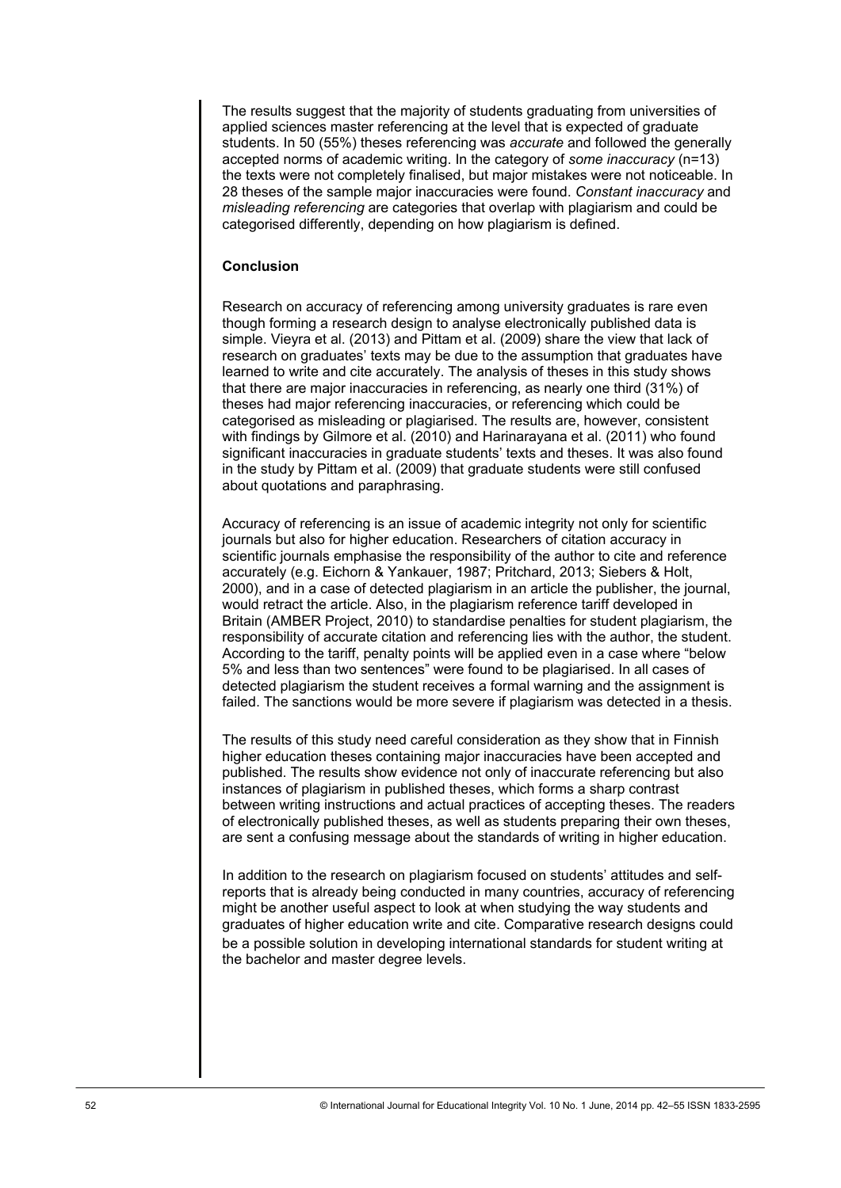The results suggest that the majority of students graduating from universities of applied sciences master referencing at the level that is expected of graduate students. In 50 (55%) theses referencing was *accurate* and followed the generally accepted norms of academic writing. In the category of *some inaccuracy* (n=13) the texts were not completely finalised, but major mistakes were not noticeable. In 28 theses of the sample major inaccuracies were found. *Constant inaccuracy* and *misleading referencing* are categories that overlap with plagiarism and could be categorised differently, depending on how plagiarism is defined.

## **Conclusion**

Research on accuracy of referencing among university graduates is rare even though forming a research design to analyse electronically published data is simple. Vieyra et al. (2013) and Pittam et al. (2009) share the view that lack of research on graduates' texts may be due to the assumption that graduates have learned to write and cite accurately. The analysis of theses in this study shows that there are major inaccuracies in referencing, as nearly one third (31%) of theses had major referencing inaccuracies, or referencing which could be categorised as misleading or plagiarised. The results are, however, consistent with findings by Gilmore et al. (2010) and Harinarayana et al. (2011) who found significant inaccuracies in graduate students' texts and theses. It was also found in the study by Pittam et al. (2009) that graduate students were still confused about quotations and paraphrasing.

Accuracy of referencing is an issue of academic integrity not only for scientific journals but also for higher education. Researchers of citation accuracy in scientific journals emphasise the responsibility of the author to cite and reference accurately (e.g. Eichorn & Yankauer, 1987; Pritchard, 2013; Siebers & Holt, 2000), and in a case of detected plagiarism in an article the publisher, the journal, would retract the article. Also, in the plagiarism reference tariff developed in Britain (AMBER Project, 2010) to standardise penalties for student plagiarism, the responsibility of accurate citation and referencing lies with the author, the student. According to the tariff, penalty points will be applied even in a case where "below 5% and less than two sentences" were found to be plagiarised. In all cases of detected plagiarism the student receives a formal warning and the assignment is failed. The sanctions would be more severe if plagiarism was detected in a thesis.

The results of this study need careful consideration as they show that in Finnish higher education theses containing major inaccuracies have been accepted and published. The results show evidence not only of inaccurate referencing but also instances of plagiarism in published theses, which forms a sharp contrast between writing instructions and actual practices of accepting theses. The readers of electronically published theses, as well as students preparing their own theses, are sent a confusing message about the standards of writing in higher education.

In addition to the research on plagiarism focused on students' attitudes and selfreports that is already being conducted in many countries, accuracy of referencing might be another useful aspect to look at when studying the way students and graduates of higher education write and cite. Comparative research designs could be a possible solution in developing international standards for student writing at the bachelor and master degree levels.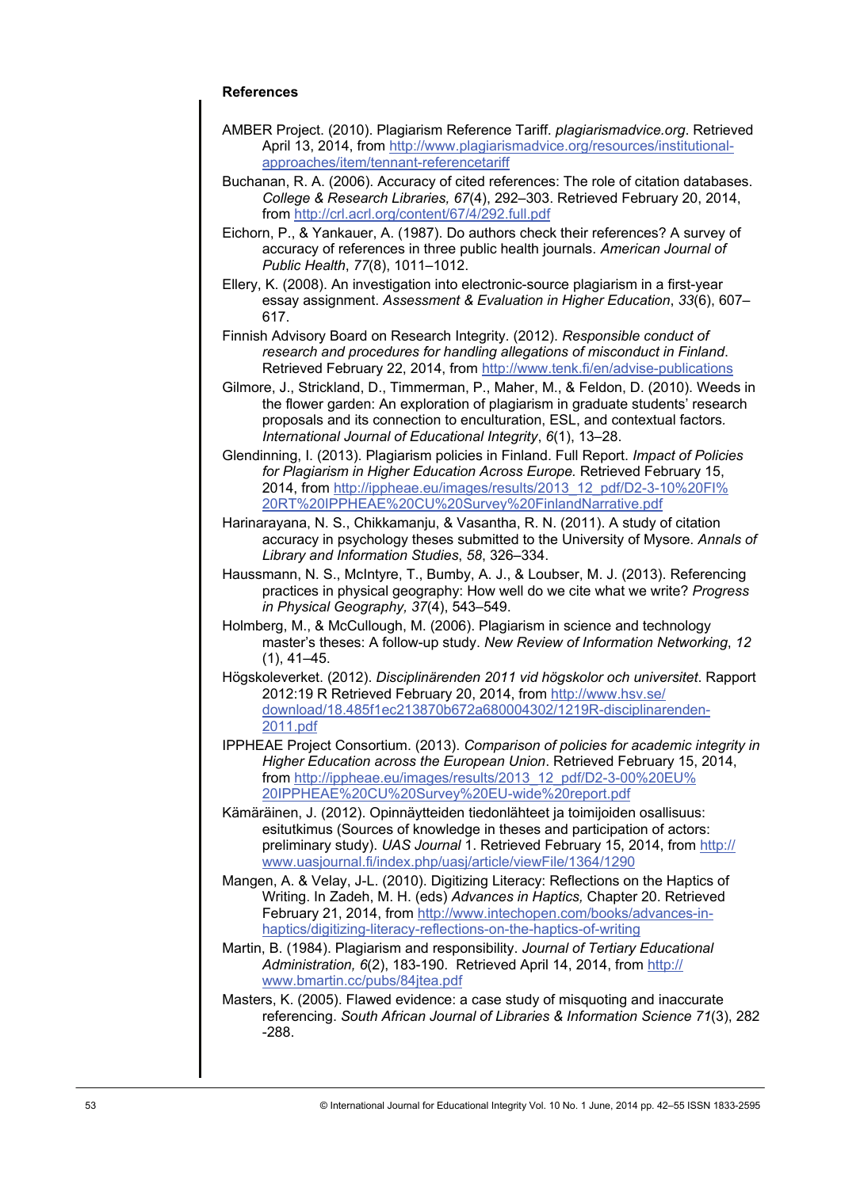# **References**

- AMBER Project. (2010). Plagiarism Reference Tariff. *plagiarismadvice.org*. Retrieved April 13, 2014, from [http://www.plagiarismadvice.org/resources/institutional](http://www.plagiarismadvice.org/resources/institutional-approaches/item/tennant-referencetariff)[approaches/item/tennant-referencetariff](http://www.plagiarismadvice.org/resources/institutional-approaches/item/tennant-referencetariff)
- Buchanan, R. A. (2006). Accuracy of cited references: The role of citation databases. *College & Research Libraries, 67*(4), 292–303. Retrieved February 20, 2014, from <http://crl.acrl.org/content/67/4/292.full.pdf>
- Eichorn, P., & Yankauer, A. (1987). Do authors check their references? A survey of accuracy of references in three public health journals. *American Journal of Public Health*, *77*(8), 1011–1012.
- Ellery, K. (2008). An investigation into electronic-source plagiarism in a first-year essay assignment. *Assessment & Evaluation in Higher Education*, *33*(6), 607– 617.
- Finnish Advisory Board on Research Integrity. (2012). *Responsible conduct of research and procedures for handling allegations of misconduct in Finland*. Retrieved February 22, 2014, from <http://www.tenk.fi/en/advise-publications>
- Gilmore, J., Strickland, D., Timmerman, P., Maher, M., & Feldon, D. (2010). Weeds in the flower garden: An exploration of plagiarism in graduate students' research proposals and its connection to enculturation, ESL, and contextual factors*. International Journal of Educational Integrity*, *6*(1), 13–28.
- Glendinning, I. (2013). Plagiarism policies in Finland. Full Report. *Impact of Policies for Plagiarism in Higher Education Across Europe.* Retrieved February 15, 2014, from [http://ippheae.eu/images/results/2013\\_12\\_pdf/D2-3-10%20FI%](http://ippheae.eu/images/results/2013_12_pdf/D2-3-10%20FI%20RT%20IPPHEAE%20CU%20Survey%20FinlandNarrative.pdf) [20RT%20IPPHEAE%20CU%20Survey%20FinlandNarrative.pdf](http://ippheae.eu/images/results/2013_12_pdf/D2-3-10%20FI%20RT%20IPPHEAE%20CU%20Survey%20FinlandNarrative.pdf)
- Harinarayana, N. S., Chikkamanju, & Vasantha, R. N. (2011). A study of citation accuracy in psychology theses submitted to the University of Mysore. *Annals of Library and Information Studies*, *58*, 326–334.
- Haussmann, N. S., McIntyre, T., Bumby, A. J., & Loubser, M. J. (2013). Referencing practices in physical geography: How well do we cite what we write? *Progress in Physical Geography, 37*(4), 543–549.
- Holmberg, M., & McCullough, M. (2006). Plagiarism in science and technology master's theses: A follow-up study. *New Review of Information Networking*, *12* (1), 41–45.
- Högskoleverket. (2012). *Disciplinärenden 2011 vid högskolor och universitet*. Rapport 2012:19 R Retrieved February 20, 2014, from [http://www.hsv.se/](http://www.hsv.se/download/18.485f1ec213870b672a680004302/1219R-disciplinarenden-2011.pdf) [download/18.485f1ec213870b672a680004302/1219R-disciplinarenden-](http://www.hsv.se/download/18.485f1ec213870b672a680004302/1219R-disciplinarenden-2011.pdf)[2011.pdf](http://www.hsv.se/download/18.485f1ec213870b672a680004302/1219R-disciplinarenden-2011.pdf)
- IPPHEAE Project Consortium. (2013). *Comparison of policies for academic integrity in Higher Education across the European Union*. Retrieved February 15, 2014, from [http://ippheae.eu/images/results/2013\\_12\\_pdf/D2-3-00%20EU%](http://ippheae.eu/images/results/2013_12_pdf/D2-3-00%20EU%20IPPHEAE%20CU%20Survey%20EU-wide%20report.pdf) [20IPPHEAE%20CU%20Survey%20EU-wide%20report.pdf](http://ippheae.eu/images/results/2013_12_pdf/D2-3-00%20EU%20IPPHEAE%20CU%20Survey%20EU-wide%20report.pdf)
- Kämäräinen, J. (2012). Opinnäytteiden tiedonlähteet ja toimijoiden osallisuus: esitutkimus (Sources of knowledge in theses and participation of actors: preliminary study). *UAS Journal* 1. Retrieved February 15, 2014, from [http://](http://www.uasjournal.fi/index.php/uasj/article/viewFile/1364/1290) [www.uasjournal.fi/index.php/uasj/article/viewFile/1364/1290](http://www.uasjournal.fi/index.php/uasj/article/viewFile/1364/1290)
- Mangen, A. & Velay, J-L. (2010). Digitizing Literacy: Reflections on the Haptics of Writing. In Zadeh, M. H. (eds) *Advances in Haptics,* Chapter 20. Retrieved February 21, 2014, from [http://www.intechopen.com/books/advances-in](http://www.intechopen.com/books/advances-in-haptics/digitizing-literacy-reflections-on-the-haptics-of-writing)[haptics/digitizing-literacy-reflections-on-the-haptics-of-writing](http://www.intechopen.com/books/advances-in-haptics/digitizing-literacy-reflections-on-the-haptics-of-writing)
- Martin, B. (1984). Plagiarism and responsibility. *Journal of Tertiary Educational Administration, 6*(2), 183-190. Retrieved April 14, 2014, from [http://](http://www.bmartin.cc/pubs/84jtea.pdf) [www.bmartin.cc/pubs/84jtea.pdf](http://www.bmartin.cc/pubs/84jtea.pdf)
- Masters, K. (2005). Flawed evidence: a case study of misquoting and inaccurate referencing. *South African Journal of Libraries & Information Science 71*(3), 282 -288.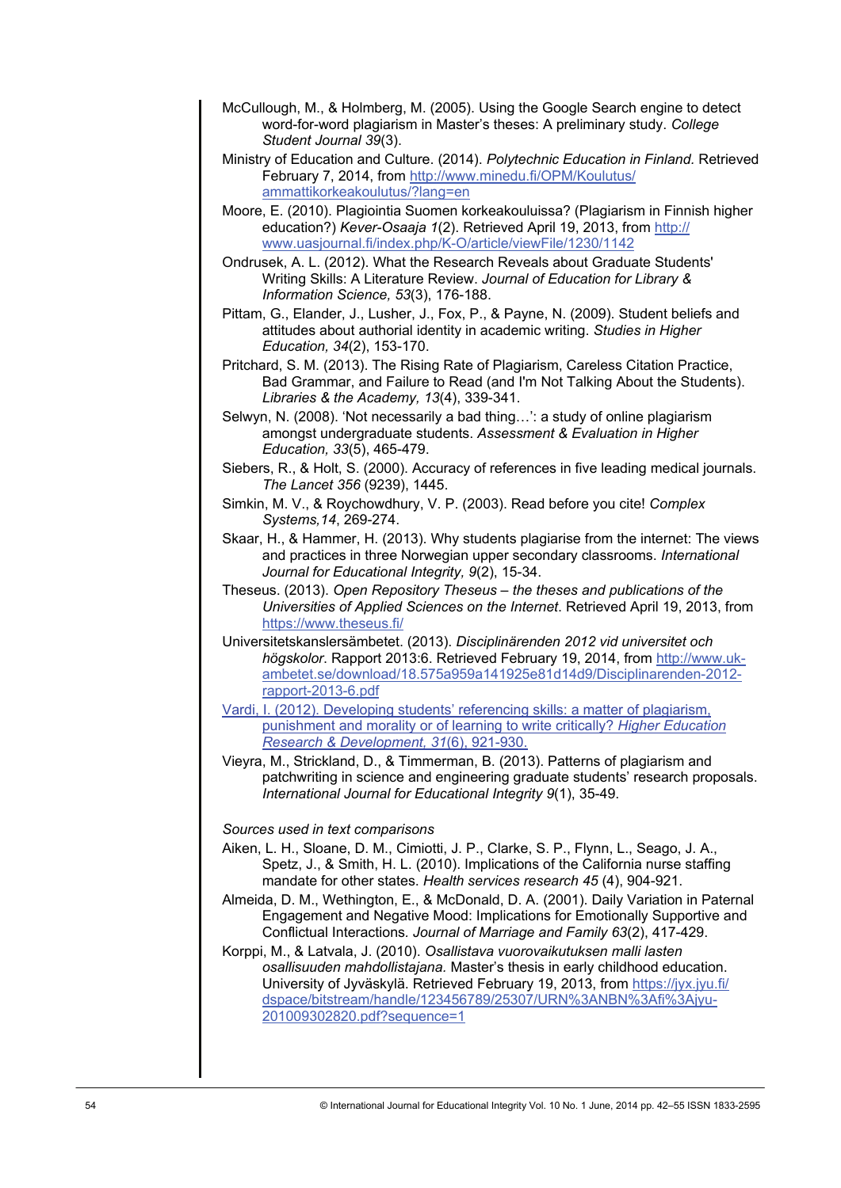- McCullough, M., & Holmberg, M. (2005). Using the Google Search engine to detect word-for-word plagiarism in Master's theses: A preliminary study. *College Student Journal 39*(3).
- Ministry of Education and Culture. (2014). *Polytechnic Education in Finland.* Retrieved February 7, 2014, from [http://www.minedu.fi/OPM/Koulutus/](http://www.minedu.fi/OPM/Koulutus/ammattikorkeakoulutus/?lang=en) [ammattikorkeakoulutus/?lang=en](http://www.minedu.fi/OPM/Koulutus/ammattikorkeakoulutus/?lang=en)
- Moore, E. (2010). Plagiointia Suomen korkeakouluissa? (Plagiarism in Finnish higher education?) *Kever-Osaaja 1*(2). Retrieved April 19, 2013, from [http://](http://www.uasjournal.fi/index.php/K-O/article/viewFile/1230/1142) [www.uasjournal.fi/index.php/K-O/article/viewFile/1230/1142](http://www.uasjournal.fi/index.php/K-O/article/viewFile/1230/1142)
- Ondrusek, A. L. (2012). What the Research Reveals about Graduate Students' Writing Skills: A Literature Review. *Journal of Education for Library & Information Science, 53*(3), 176-188.
- Pittam, G., Elander, J., Lusher, J., Fox, P., & Payne, N. (2009). Student beliefs and attitudes about authorial identity in academic writing. *Studies in Higher Education, 34*(2), 153-170.
- Pritchard, S. M. (2013). The Rising Rate of Plagiarism, Careless Citation Practice, Bad Grammar, and Failure to Read (and I'm Not Talking About the Students). *Libraries & the Academy, 13*(4), 339-341.
- Selwyn, N. (2008). 'Not necessarily a bad thing…': a study of online plagiarism amongst undergraduate students. *Assessment & Evaluation in Higher Education, 33*(5), 465-479.
- Siebers, R., & Holt, S. (2000). Accuracy of references in five leading medical journals. *The Lancet 356* (9239), 1445.
- Simkin, M. V., & Roychowdhury, V. P. (2003). Read before you cite! *Complex Systems,14*, 269-274.
- Skaar, H., & Hammer, H. (2013). Why students plagiarise from the internet: The views and practices in three Norwegian upper secondary classrooms. *International Journal for Educational Integrity, 9*(2), 15-34.
- Theseus. (2013). *Open Repository Theseus the theses and publications of the Universities of Applied Sciences on the Internet*. Retrieved April 19, 2013, from <https://www.theseus.fi/>
- Universitetskanslersämbetet. (2013). *Disciplinärenden 2012 vid universitet och högskolor*. Rapport 2013:6. Retrieved February 19, 2014, from [http://www.uk](http://www.uk-ambetet.se/download/18.575a959a141925e81d14d9/Disciplinarenden-2012-rapport-2013-6.pdf)[ambetet.se/download/18.575a959a141925e81d14d9/Disciplinarenden-2012](http://www.uk-ambetet.se/download/18.575a959a141925e81d14d9/Disciplinarenden-2012-rapport-2013-6.pdf) [rapport-2013-6.pdf](http://www.uk-ambetet.se/download/18.575a959a141925e81d14d9/Disciplinarenden-2012-rapport-2013-6.pdf)
- Vardi, I. (2012). Developing students' referencing skills: a matter of plagiarism, punishment and morality or of learning to write critically? *Higher Education Research & Development, 31*(6), 921-930.
- Vieyra, M., Strickland, D., & Timmerman, B. (2013). Patterns of plagiarism and patchwriting in science and engineering graduate students' research proposals. *International Journal for Educational Integrity 9*(1), 35-49.

# *Sources used in text comparisons*

- Aiken, L. H., Sloane, D. M., Cimiotti, J. P., Clarke, S. P., Flynn, L., Seago, J. A., Spetz, J., & Smith, H. L. (2010). Implications of the California nurse staffing mandate for other states. *Health services research 45* (4), 904-921.
- Almeida, D. M., Wethington, E., & McDonald, D. A. (2001). Daily Variation in Paternal Engagement and Negative Mood: Implications for Emotionally Supportive and Conflictual Interactions*. Journal of Marriage and Family 63*(2), 417-429.
- Korppi, M., & Latvala, J. (2010). *Osallistava vuorovaikutuksen malli lasten osallisuuden mahdollistajana.* Master's thesis in early childhood education. University of Jyväskylä. Retrieved February 19, 2013, from [https://jyx.jyu.fi/](https://jyx.jyu.fi/dspace/bitstream/handle/123456789/25307/URN%3ANBN%3Afi%3Ajyu-201009302820.pdf?sequence=1) [dspace/bitstream/handle/123456789/25307/URN%3ANBN%3Afi%3Ajyu-](https://jyx.jyu.fi/dspace/bitstream/handle/123456789/25307/URN%3ANBN%3Afi%3Ajyu-201009302820.pdf?sequence=1)[201009302820.pdf?sequence=1](https://jyx.jyu.fi/dspace/bitstream/handle/123456789/25307/URN%3ANBN%3Afi%3Ajyu-201009302820.pdf?sequence=1)